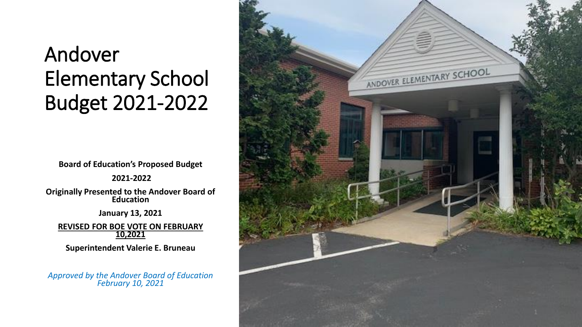### Andover Elementary School Budget 2021 -2022

**Board of Education's Proposed Budget**

**2021 -2022**

**Originally Presented to the Andover Board of Education**

**January 13, 2021**

**REVISED FOR BOE VOTE ON FEBRUARY 10,2021**

**Superintendent Valerie E. Bruneau**

*Approved by the Andover Board of Education February 10, 2021*

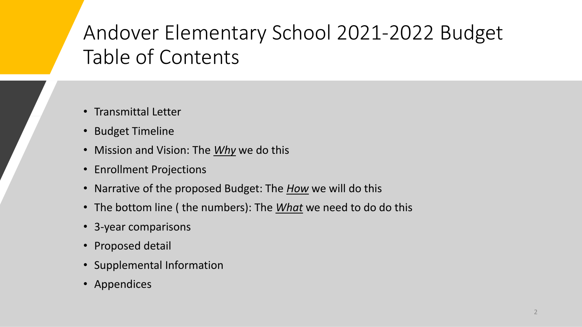### Andover Elementary School 2021-2022 Budget Table of Contents

- Transmittal Letter
- Budget Timeline
- Mission and Vision: The *Why* we do this
- Enrollment Projections
- Narrative of the proposed Budget: The *How* we will do this
- The bottom line ( the numbers): The *What* we need to do do this
- 3-year comparisons
- Proposed detail
- Supplemental Information
- Appendices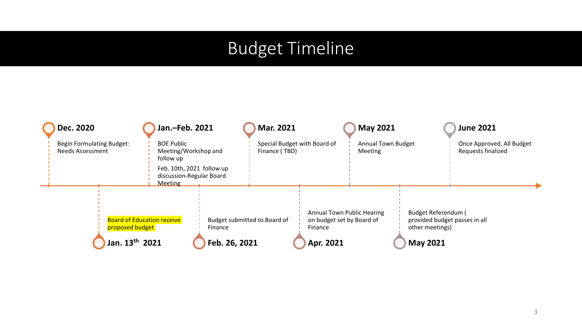### Budget Timeline

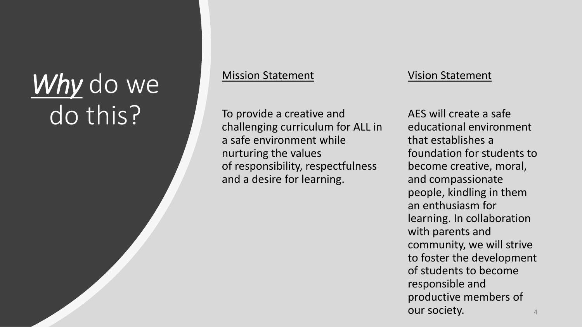# Why do we do this?

#### Mission Statement

To provide a creative and challenging curriculum for ALL in a safe environment while nurturing the values of responsibility, respectfulness and a desire for learning.

#### Vision Statement

AES will create a safe educational environment that establishes a foundation for students to become creative, moral, and compassionate people, kindling in them an enthusiasm for learning. In collaboration with parents and community, we will strive to foster the development of students to become responsible and productive members of our society.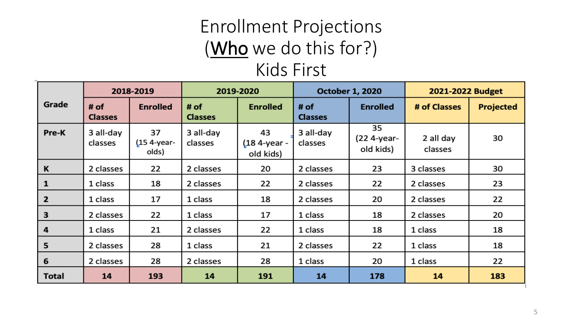### Enrollment Projections (Who we do this for?)

### Kids First

|                |                        | 2018-2019                      |                          | 2019-2020                       |                        | <b>October 1, 2020</b>         | 2021-2022 Budget     |           |
|----------------|------------------------|--------------------------------|--------------------------|---------------------------------|------------------------|--------------------------------|----------------------|-----------|
| Grade          | # of<br><b>Classes</b> | <b>Enrolled</b>                | # $of$<br><b>Classes</b> | <b>Enrolled</b>                 | # of<br><b>Classes</b> | <b>Enrolled</b>                | # of Classes         | Projected |
| Pre-K          | 3 all-day<br>classes   | 37<br>$(154 - year -$<br>olds) | 3 all-day<br>classes     | 43<br>(18 4-year -<br>old kids) | 3 all-day<br>classes   | 35<br>(22 4-year-<br>old kids) | 2 all day<br>classes | 30        |
| K              | 2 classes              | 22                             | 2 classes                | 20                              | 2 classes              | 23                             | 3 classes            | 30        |
| $\mathbf{1}$   | 1 class                | 18                             | 2 classes                | 22                              | 2 classes              | 22                             | 2 classes            | 23        |
| $\overline{2}$ | 1 class                | 17                             | 1 class                  | 18                              | 2 classes              | 20                             | 2 classes            | 22        |
| 3              | 2 classes              | 22                             | 1 class                  | 17                              | 1 class                | 18                             | 2 classes            | 20        |
| 4              | 1 class                | 21                             | 2 classes                | 22                              | 1 class                | 18                             | 1 class              | 18        |
| 5              | 2 classes              | 28                             | 1 class                  | 21                              | 2 classes              | 22                             | 1 class              | 18        |
| 6              | 2 classes              | 28                             | 2 classes                | 28                              | 1 class                | 20                             | 1 class              | 22        |
| Total          | 14                     | 193                            | 14                       | 191                             | 14                     | 178                            | 14                   | 183       |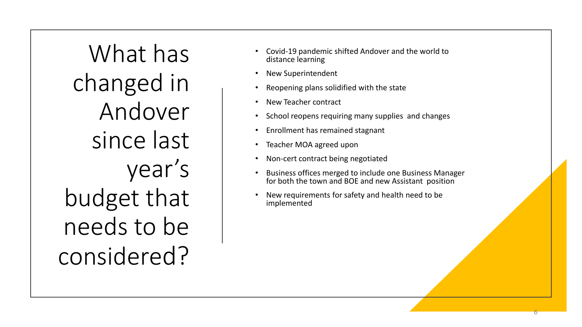What has changed in Andover since last year's budget that needs to be considered?

- Covid-19 pandemic shifted Andover and the world to distance learning
- New Superintendent
- Reopening plans solidified with the state
- New Teacher contract
- School reopens requiring many supplies and changes
- Enrollment has remained stagnant
- Teacher MOA agreed upon
- Non-cert contract being negotiated
- Business offices merged to include one Business Manager for both the town and BOE and new Assistant position

6

New requirements for safety and health need to be implemented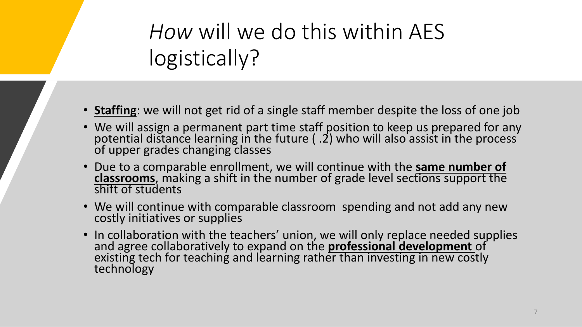*How* will we do this within AES logistically?

- **Staffing**: we will not get rid of a single staff member despite the loss of one job
- We will assign a permanent part time staff position to keep us prepared for any potential distance learning in the future ( .2) who will also assist in the process of upper grades changing classes
- Due to a comparable enrollment, we will continue with the **same number of classrooms**, making a shift in the number of grade level sections support the shift of students
- We will continue with comparable classroom spending and not add any new costly initiatives or supplies
- In collaboration with the teachers' union, we will only replace needed supplies and agree collaboratively to expand on the **professional development** of existing tech for teaching and learning rather than investing in new costly technology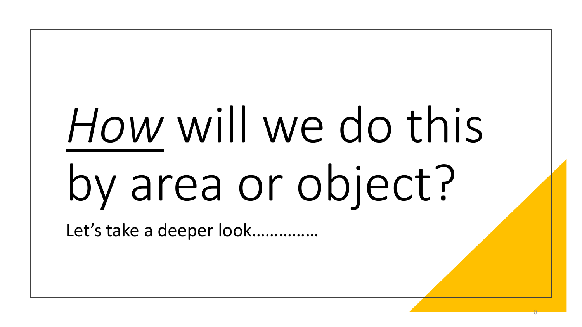# *How* will we do this by area or object?

Let's take a deeper look...............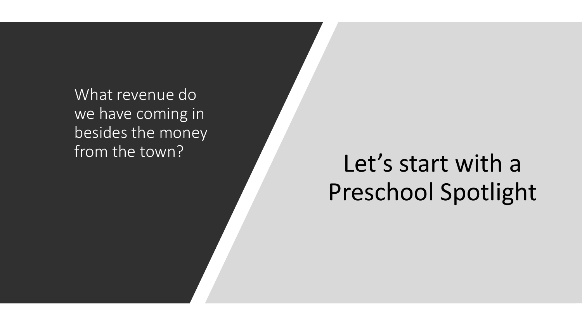What revenue do we have coming in besides the money

# from the town?<br>
Let's start with a Preschool Spotlight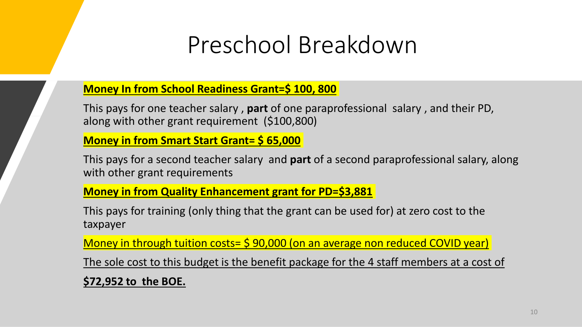### Preschool Breakdown

#### **Money In from School Readiness Grant=\$ 100, 800**

This pays for one teacher salary , **part** of one paraprofessional salary , and their PD, along with other grant requirement (\$100,800)

**Money in from Smart Start Grant= \$ 65,000**

This pays for a second teacher salary and **part** of a second paraprofessional salary, along with other grant requirements

#### **Money in from Quality Enhancement grant for PD=\$3,881**

This pays for training (only thing that the grant can be used for) at zero cost to the taxpayer

Money in through tuition costs= \$ 90,000 (on an average non reduced COVID year)

The sole cost to this budget is the benefit package for the 4 staff members at a cost of

**\$72,952 to the BOE.**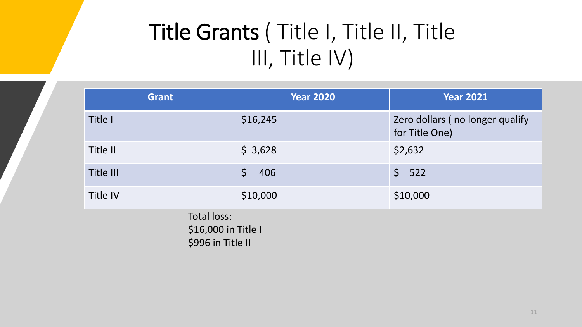### Title Grants ( Title I, Title II, Title III, Title IV)

| <b>Grant</b>                                            | <b>Year 2020</b>   | <b>Year 2021</b>                                  |  |  |  |  |
|---------------------------------------------------------|--------------------|---------------------------------------------------|--|--|--|--|
| Title I                                                 | \$16,245           | Zero dollars (no longer qualify<br>for Title One) |  |  |  |  |
| Title II                                                | \$3,628            | \$2,632                                           |  |  |  |  |
| Title III                                               | $\varsigma$<br>406 | $\zeta$<br>522                                    |  |  |  |  |
| Title IV                                                | \$10,000           | \$10,000                                          |  |  |  |  |
| Total loss:<br>\$16,000 in Title I<br>\$996 in Title II |                    |                                                   |  |  |  |  |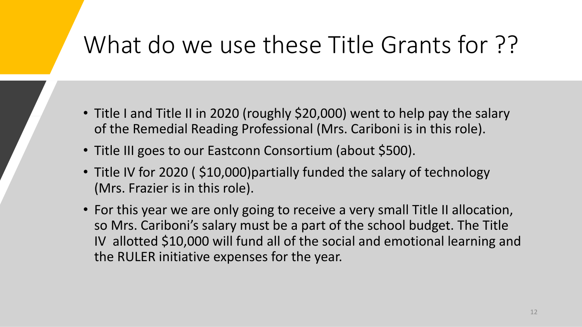### What do we use these Title Grants for ??

- Title I and Title II in 2020 (roughly \$20,000) went to help pay the salary of the Remedial Reading Professional (Mrs. Cariboni is in this role).
- Title III goes to our Eastconn Consortium (about \$500).
- Title IV for 2020 (\$10,000) partially funded the salary of technology (Mrs. Frazier is in this role).
- For this year we are only going to receive a very small Title II allocation, so Mrs. Cariboni's salary must be a part of the school budget. The Title IV allotted \$10,000 will fund all of the social and emotional learning and the RULER initiative expenses for the year.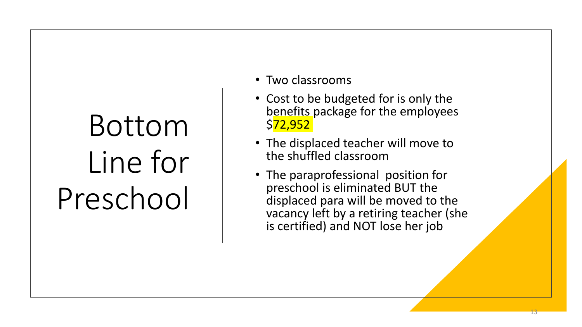# Bottom Line for Preschool

- Two classrooms
- Cost to be budgeted for is only the benefits package for the employees \$72,952
- The displaced teacher will move to the shuffled classroom
- The paraprofessional position for preschool is eliminated BUT the displaced para will be moved to the vacancy left by a retiring teacher (she is certified) and NOT lose her job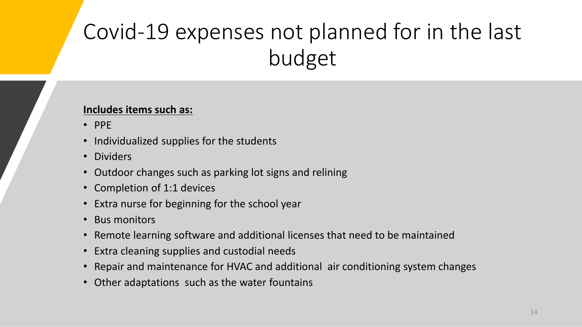### Covid-19 expenses not planned for in the last budget

#### **Includes items such as:**

- PPE
- Individualized supplies for the students
- Dividers
- Outdoor changes such as parking lot signs and relining
- Completion of 1:1 devices
- Extra nurse for beginning for the school year
- Bus monitors
- Remote learning software and additional licenses that need to be maintained
- Extra cleaning supplies and custodial needs
- Repair and maintenance for HVAC and additional air conditioning system changes
- Other adaptations such as the water fountains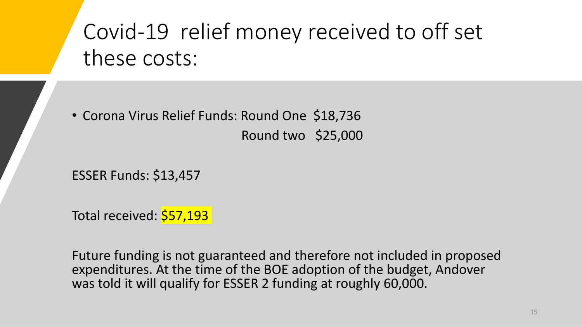### Covid-19 relief money received to off set these costs:

• Corona Virus Relief Funds: Round One \$18,736 Round two \$25,000

ESSER Funds: \$13,457

Total received: \$57,193

Future funding is not guaranteed and therefore not included in proposed expenditures. At the time of the BOE adoption of the budget, Andover was told it will qualify for ESSER 2 funding at roughly 60,000.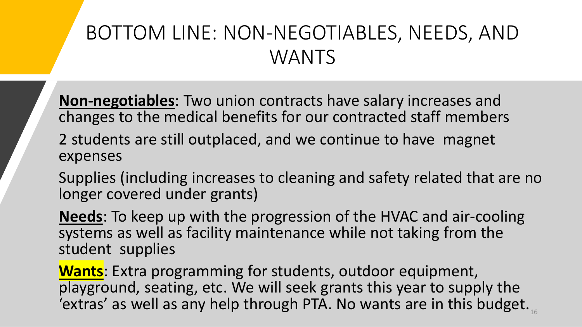### BOTTOM LINE: NON-NEGOTIABLES, NEEDS, AND WANTS

**Non-negotiables**: Two union contracts have salary increases and changes to the medical benefits for our contracted staff members

2 students are still outplaced, and we continue to have magnet expenses

Supplies (including increases to cleaning and safety related that are no longer covered under grants)

**Needs**: To keep up with the progression of the HVAC and air-cooling systems as well as facility maintenance while not taking from the student supplies

**Wants**: Extra programming for students, outdoor equipment, playground, seating, etc. We will seek grants this year to supply the 'extras' as well as any help through PTA. No wants are in this budget.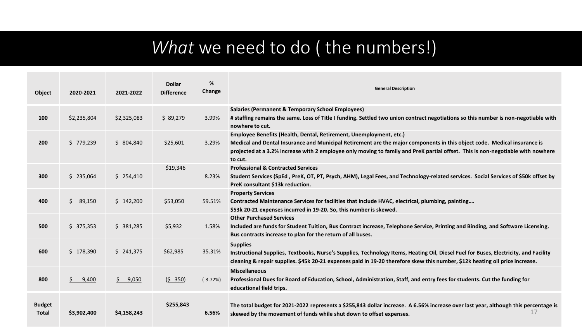### *What* we need to do ( the numbers!)

| Object                        | 2020-2021    | 2021-2022         | <b>Dollar</b><br><b>Difference</b> | %<br>Change | <b>General Description</b>                                                                                                                                                                                                                                                                                                                   |
|-------------------------------|--------------|-------------------|------------------------------------|-------------|----------------------------------------------------------------------------------------------------------------------------------------------------------------------------------------------------------------------------------------------------------------------------------------------------------------------------------------------|
| 100                           | \$2,235,804  | \$2,325,083       | \$89,279                           | 3.99%       | <b>Salaries (Permanent &amp; Temporary School Employees)</b><br># staffing remains the same. Loss of Title I funding. Settled two union contract negotiations so this number is non-negotiable with<br>nowhere to cut.                                                                                                                       |
| 200                           | \$779,239    | \$804,840         | \$25,601                           | 3.29%       | Employee Benefits (Health, Dental, Retirement, Unemployment, etc.)<br>Medical and Dental Insurance and Municipal Retirement are the major components in this object code. Medical insurance is<br>projected at a 3.2% increase with 2 employee only moving to family and PreK partial offset. This is non-negotiable with nowhere<br>to cut. |
| 300                           | \$235,064    | \$254,410         | \$19,346                           | 8.23%       | <b>Professional &amp; Contracted Services</b><br>Student Services (SpEd, PreK, OT, PT, Psych, AHM), Legal Fees, and Technology-related services. Social Services of \$50k offset by<br>PreK consultant \$13k reduction.                                                                                                                      |
| 400                           | S.<br>89,150 | \$142,200         | \$53,050                           | 59.51%      | <b>Property Services</b><br>Contracted Maintenance Services for facilities that include HVAC, electrical, plumbing, painting<br>\$53k 20-21 expenses incurred in 19-20. So, this number is skewed.                                                                                                                                           |
| 500                           | \$375,353    | \$381,285         | \$5,932                            | 1.58%       | <b>Other Purchased Services</b><br>Included are funds for Student Tuition, Bus Contract increase, Telephone Service, Printing and Binding, and Software Licensing.<br>Bus contracts increase to plan for the return of all buses.                                                                                                            |
| 600                           | \$178,390    | \$241,375         | \$62,985                           | 35.31%      | <b>Supplies</b><br>Instructional Supplies, Textbooks, Nurse's Supplies, Technology Items, Heating Oil, Diesel Fuel for Buses, Electricity, and Facility<br>cleaning & repair supplies. \$45k 20-21 expenses paid in 19-20 therefore skew this number, \$12k heating oil price increase.                                                      |
| 800                           | Ś.<br>9,400  | $\frac{5}{9,050}$ | (5 350)                            | $(-3.72%)$  | <b>Miscellaneous</b><br>Professional Dues for Board of Education, School, Administration, Staff, and entry fees for students. Cut the funding for<br>educational field trips.                                                                                                                                                                |
| <b>Budget</b><br><b>Total</b> | \$3,902,400  | \$4,158,243       | \$255,843                          | 6.56%       | The total budget for 2021-2022 represents a \$255,843 dollar increase. A 6.56% increase over last year, although this percentage is<br>skewed by the movement of funds while shut down to offset expenses.                                                                                                                                   |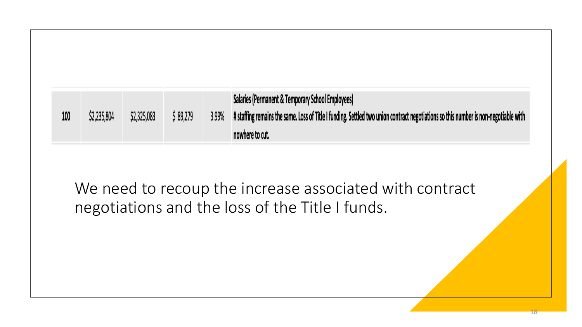| 100 | \$2,235,804 | \$2,325,083 | 89,279 | 3.99% | <b>Salaries (Permanent &amp; Temporary School Employees)</b><br># staffing remains the same. Loss of Title I funding. Settled two union contract negotiations so this number is non-negotiable with |
|-----|-------------|-------------|--------|-------|-----------------------------------------------------------------------------------------------------------------------------------------------------------------------------------------------------|
|     |             |             |        |       | nowhere to cut.                                                                                                                                                                                     |

We need to recoup the increase associated with contract negotiations and the loss of the Title I funds.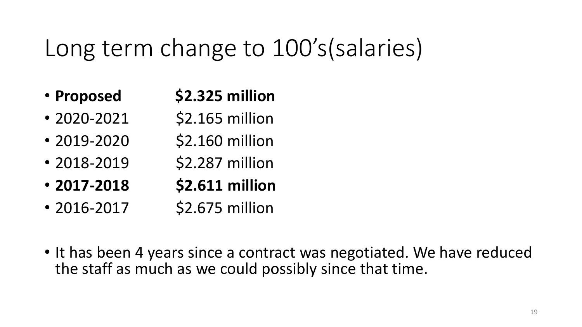### Long term change to 100's(salaries)

- **Proposed \$2.325 million**
- 2020-2021 \$2.165 million
- 2019-2020 \$2.160 million
- 2018-2019 \$2.287 million
- **2017-2018 \$2.611 million**
- 2016-2017 \$2.675 million
- It has been 4 years since a contract was negotiated. We have reduced the staff as much as we could possibly since that time.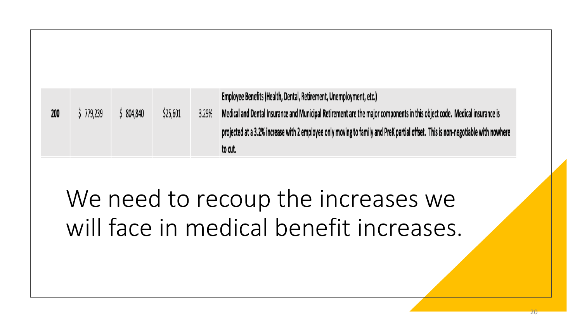| 200 | 779,239 | 804,840 | \$25,601 | 3.29% | Employee Benefits (Health, Dental, Retirement, Unemployment, etc.)<br>Medical and Dental Insurance and Municipal Retirement are the major components in this object code. Medical insurance is |
|-----|---------|---------|----------|-------|------------------------------------------------------------------------------------------------------------------------------------------------------------------------------------------------|
|     |         |         |          |       | projected at a 3.2% increase with 2 employee only moving to family and PreK partial offset. This is non-negotiable with nowhere<br>to cut.                                                     |

# We need to recoup the increases we will face in medical benefit increases.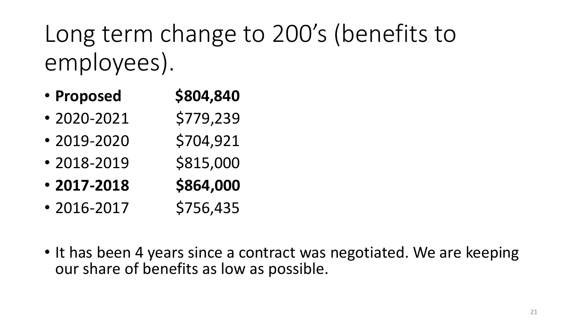# Long term change to 200's (benefits to employees).

- Proposed **\$804,840**
- $\cdot$  2020-2021 \$779,239
- $\cdot$  2019-2020 \$704,921
- $\cdot$  2018-2019 \$815,000
- **2017-2018 \$864,000**
- $\cdot$  2016-2017 \$756,435
- It has been 4 years since a contract was negotiated. We are keeping our share of benefits as low as possible.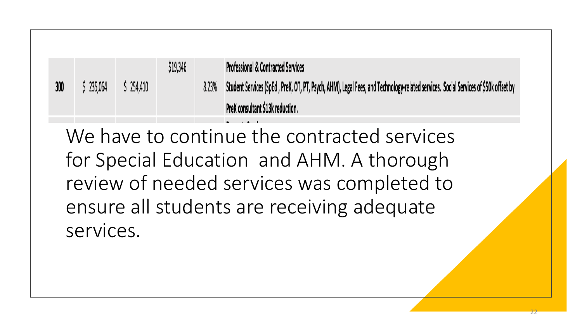|     |         |         | \$19,346 |       | <b>Professional &amp; Contracted Services</b>                                                                                       |
|-----|---------|---------|----------|-------|-------------------------------------------------------------------------------------------------------------------------------------|
| 300 | 235,064 | 254,410 |          | 8.23% | Student Services (SpEd , PreK, OT, PT, Psych, AHM), Legal Fees, and Technology-related services. Social Services of \$50k offset by |
|     |         |         |          |       | PreK consultant \$13k reduction.                                                                                                    |

We have to continue the contracted services for Special Education and AHM. A thorough review of needed services was completed to ensure all students are receiving adequate services.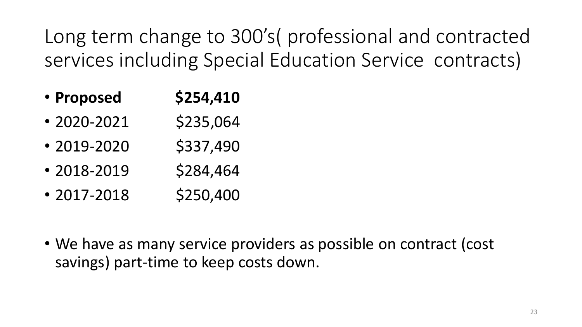Long term change to 300's( professional and contracted services including Special Education Service contracts)

- Proposed **\$254,410**
- $\cdot$  2020-2021 \$235,064
- $\cdot$  2019-2020 \$337,490
- $\cdot$  2018-2019 \$284,464
- $\cdot$  2017-2018 \$250,400
- We have as many service providers as possible on contract (cost savings) part-time to keep costs down.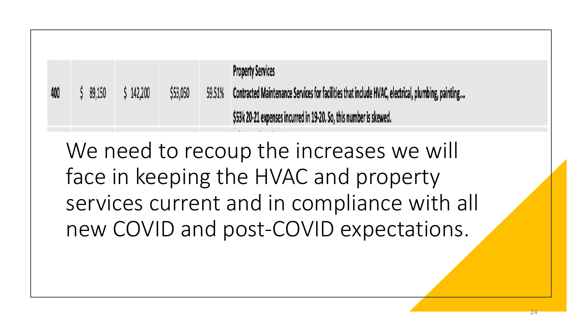**Property Services** \$53,050 59.51% Contracted Maintenance Services for facilities that include HVAC, electrical, plumbing, painting....  $$142,200$ 400  $$89,150$ \$53k 20-21 expenses incurred in 19-20. So, this number is skewed.

We need to recoup the increases we will face in keeping the HVAC and property services current and in compliance with all new COVID and post-COVID expectations.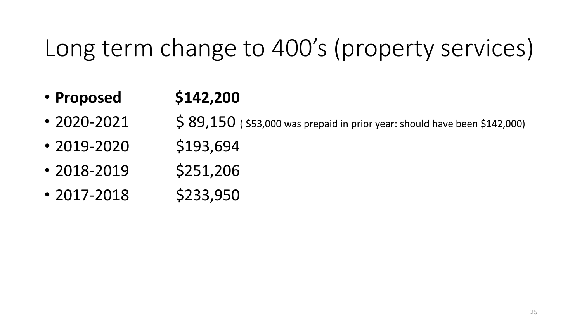## Long term change to 400's (property services)

### • **Proposed \$142,200**

- $2020 2021$  \$  $89,150$  (\$53,000 was prepaid in prior year: should have been \$142,000)
- $\cdot$  2019-2020 \$193,694
- $\cdot$  2018-2019 \$251,206
- $\cdot$  2017-2018 \$233,950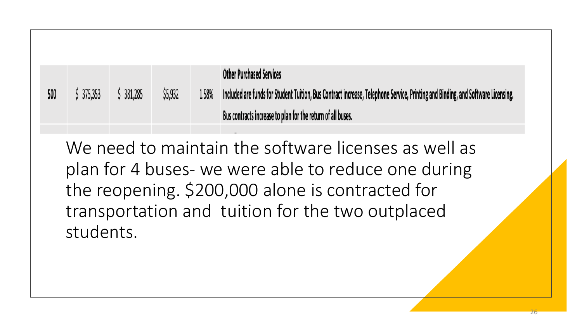|     |          |         |         |       | <b>Other Purchased Services</b>                                                                                                 |
|-----|----------|---------|---------|-------|---------------------------------------------------------------------------------------------------------------------------------|
| 500 | 5375,353 | 381,285 | \$5,932 | 1.58% | Included are funds for Student Tuition, Bus Contract increase, Telephone Service, Printing and Binding, and Software Licensing. |
|     |          |         |         |       | Bus contracts increase to plan for the return of all buses.                                                                     |

We need to maintain the software licenses as well as plan for 4 buses- we were able to reduce one during the reopening. \$200,000 alone is contracted for transportation and tuition for the two outplaced students.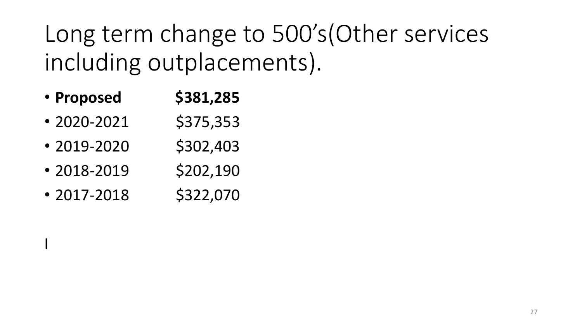Long term change to 500's(Other services including outplacements).

- Proposed **\$381,285**
- $\cdot$  2020-2021 \$375,353
- $\cdot$  2019-2020 \$302,403
- $\cdot$  2018-2019 \$202,190
- $\cdot$  2017-2018 \$322,070

I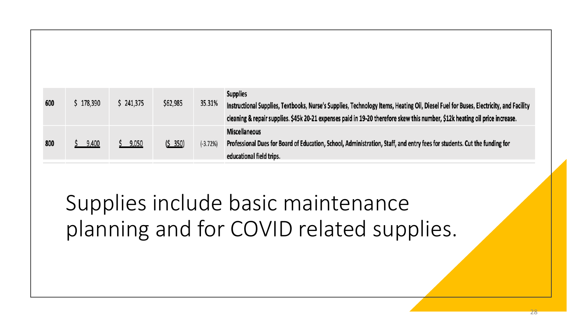| 600 | \$178,390 | 241,375 | \$62,985 | 35.31%   | <b>Supplies</b><br>Instructional Supplies, Textbooks, Nurse's Supplies, Technology Items, Heating Oil, Diesel Fuel for Buses, Electricity, and Facility<br>cleaning & repair supplies. \$45k 20-21 expenses paid in 19-20 therefore skew this number, \$12k heating oil price increase. |
|-----|-----------|---------|----------|----------|-----------------------------------------------------------------------------------------------------------------------------------------------------------------------------------------------------------------------------------------------------------------------------------------|
| 800 | 9,400     | 9,050   | (5 350)  | (-3.72%) | <b>Miscellaneous</b><br>Professional Dues for Board of Education, School, Administration, Staff, and entry fees for students. Cut the funding for<br>educational field trips.                                                                                                           |

### Supplies include basic maintenance planning and for COVID related supplies.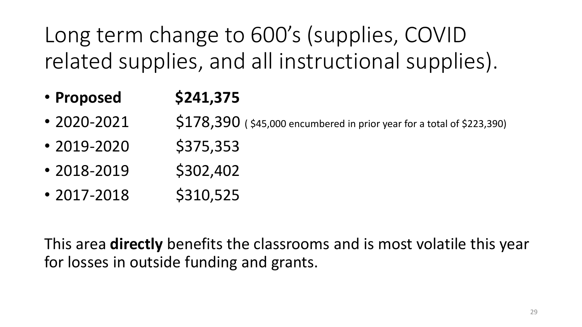Long term change to 600's (supplies, COVID related supplies, and all instructional supplies).

- Proposed **\$241,375**
- $2020 2021$  \$178,390 (\$45,000 encumbered in prior year for a total of \$223,390)
- $\cdot$  2019-2020 \$375,353
- $\cdot$  2018-2019 \$302,402
- $\cdot$  2017-2018 \$310,525

This area **directly** benefits the classrooms and is most volatile this year for losses in outside funding and grants.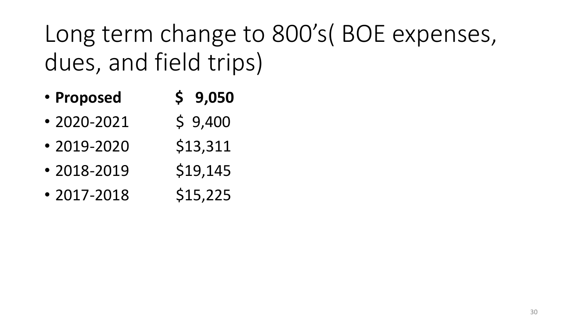Long term change to 800's( BOE expenses, dues, and field trips)

- **Proposed \$ 9,050**
- 2020-2021  $\bullet$  9,400
- 2019-2020 \$13,311
- 2018-2019  $$19,145$
- 2017-2018  $$15,225$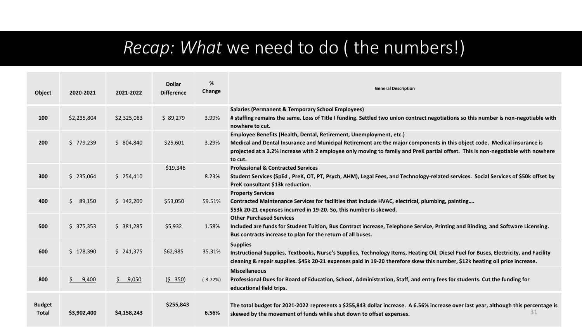### *Recap: What* we need to do ( the numbers!)

| Object                        | 2020-2021    | 2021-2022         | <b>Dollar</b><br><b>Difference</b> | %<br>Change | <b>General Description</b>                                                                                                                                                                                                                                                                                                                   |
|-------------------------------|--------------|-------------------|------------------------------------|-------------|----------------------------------------------------------------------------------------------------------------------------------------------------------------------------------------------------------------------------------------------------------------------------------------------------------------------------------------------|
| 100                           | \$2,235,804  | \$2,325,083       | \$89,279                           | 3.99%       | <b>Salaries (Permanent &amp; Temporary School Employees)</b><br># staffing remains the same. Loss of Title I funding. Settled two union contract negotiations so this number is non-negotiable with<br>nowhere to cut.                                                                                                                       |
| 200                           | \$779,239    | \$804,840         | \$25,601                           | 3.29%       | Employee Benefits (Health, Dental, Retirement, Unemployment, etc.)<br>Medical and Dental Insurance and Municipal Retirement are the major components in this object code. Medical insurance is<br>projected at a 3.2% increase with 2 employee only moving to family and PreK partial offset. This is non-negotiable with nowhere<br>to cut. |
| 300                           | \$235,064    | \$254,410         | \$19,346                           | 8.23%       | <b>Professional &amp; Contracted Services</b><br>Student Services (SpEd, PreK, OT, PT, Psych, AHM), Legal Fees, and Technology-related services. Social Services of \$50k offset by<br>PreK consultant \$13k reduction.                                                                                                                      |
| 400                           | S.<br>89,150 | \$142,200         | \$53,050                           | 59.51%      | <b>Property Services</b><br>Contracted Maintenance Services for facilities that include HVAC, electrical, plumbing, painting<br>\$53k 20-21 expenses incurred in 19-20. So, this number is skewed.                                                                                                                                           |
| 500                           | \$375,353    | \$381,285         | \$5,932                            | 1.58%       | <b>Other Purchased Services</b><br>Included are funds for Student Tuition, Bus Contract increase, Telephone Service, Printing and Binding, and Software Licensing.<br>Bus contracts increase to plan for the return of all buses.                                                                                                            |
| 600                           | \$178,390    | \$241,375         | \$62,985                           | 35.31%      | <b>Supplies</b><br>Instructional Supplies, Textbooks, Nurse's Supplies, Technology Items, Heating Oil, Diesel Fuel for Buses, Electricity, and Facility<br>cleaning & repair supplies. \$45k 20-21 expenses paid in 19-20 therefore skew this number, \$12k heating oil price increase.                                                      |
| 800                           | Ś.<br>9,400  | $\frac{5}{9,050}$ | $(5 \t350)$                        | $(-3.72%)$  | <b>Miscellaneous</b><br>Professional Dues for Board of Education, School, Administration, Staff, and entry fees for students. Cut the funding for<br>educational field trips.                                                                                                                                                                |
| <b>Budget</b><br><b>Total</b> | \$3,902,400  | \$4,158,243       | \$255,843                          | 6.56%       | The total budget for 2021-2022 represents a \$255,843 dollar increase. A 6.56% increase over last year, although this percentage is<br>31<br>skewed by the movement of funds while shut down to offset expenses.                                                                                                                             |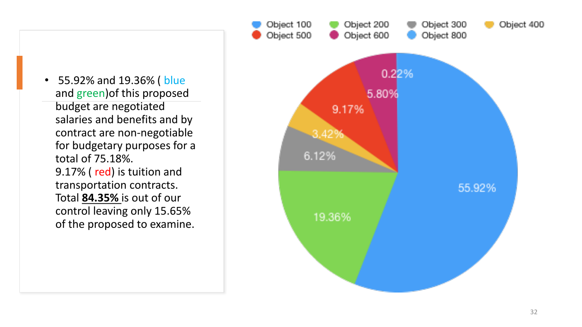• 55.92% and 19.36% ( blue and green)of this proposed budget are negotiated salaries and benefits and by contract are non -negotiable for budgetary purposes for a total of 75.18%. 9.17% ( red) is tuition and transportation contracts. Total **84.35%** is out of our control leaving only 15.65% of the proposed to examine.

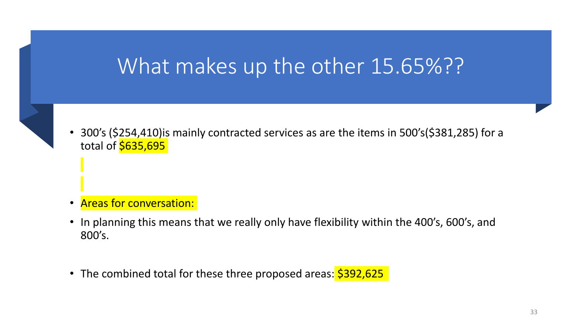### What makes up the other 15.65%??

- 
- 300's (\$254,410) is mainly contracted services as are the items in 500's (\$381,285) for a total of **\$635,695**

- Areas for conversation:
- In planning this means that we really only have flexibility within the 400's, 600's, and 800's.
- The combined total for these three proposed areas: \$392,625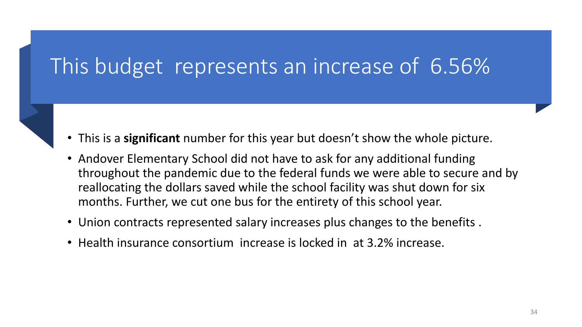### This budget represents an increase of 6.56%

- This is a **significant** number for this year but doesn't show the whole picture.
- Andover Elementary School did not have to ask for any additional funding throughout the pandemic due to the federal funds we were able to secure and by reallocating the dollars saved while the school facility was shut down for six months. Further, we cut one bus for the entirety of this school year.
- Union contracts represented salary increases plus changes to the benefits .
- Health insurance consortium increase is locked in at 3.2% increase.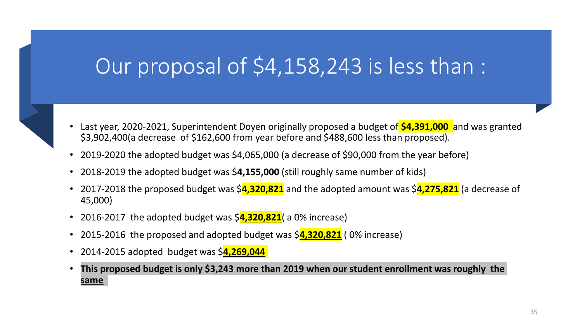### Our proposal of \$4,158,243 is less than :

- Last year, 2020-2021, Superintendent Doyen originally proposed a budget of **\$4,391,000** and was granted \$3,902,400(a decrease of \$162,600 from year before and \$488,600 less than proposed).
- 2019-2020 the adopted budget was \$4,065,000 (a decrease of \$90,000 from the year before)
- 2018-2019 the adopted budget was \$**4,155,000** (still roughly same number of kids)
- 2017-2018 the proposed budget was \$**4,320,821** and the adopted amount was \$**4,275,821** (a decrease of 45,000)
- 2016-2017 the adopted budget was  $\frac{4,320,821}{8}$  a 0% increase)
- 2015-2016 the proposed and adopted budget was \$**4,320,821** (0% increase)
- 2014-2015 adopted budget was \$**4,269,044**
- **This proposed budget is only \$3,243 more than 2019 when our student enrollment was roughly the same**